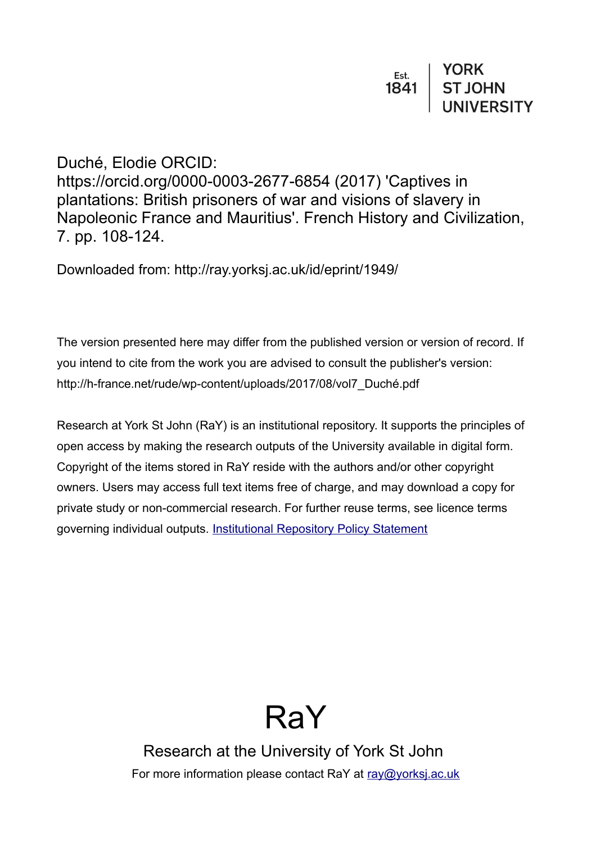Duché, Elodie ORCID:

https://orcid.org/0000-0003-2677-6854 (2017) 'Captives in plantations: British prisoners of war and visions of slavery in Napoleonic France and Mauritius'. French History and Civilization, 7. pp. 108-124.

Downloaded from: http://ray.yorksj.ac.uk/id/eprint/1949/

The version presented here may differ from the published version or version of record. If you intend to cite from the work you are advised to consult the publisher's version: http://h-france.net/rude/wp-content/uploads/2017/08/vol7\_Duché.pdf

Research at York St John (RaY) is an institutional repository. It supports the principles of open access by making the research outputs of the University available in digital form. Copyright of the items stored in RaY reside with the authors and/or other copyright owners. Users may access full text items free of charge, and may download a copy for private study or non-commercial research. For further reuse terms, see licence terms governing individual outputs. [Institutional Repository Policy Statement](https://www.yorksj.ac.uk/ils/repository-policies/)



Research at the University of York St John For more information please contact RaY at [ray@yorksj.ac.uk](mailto:ray@yorksj.ac.uk)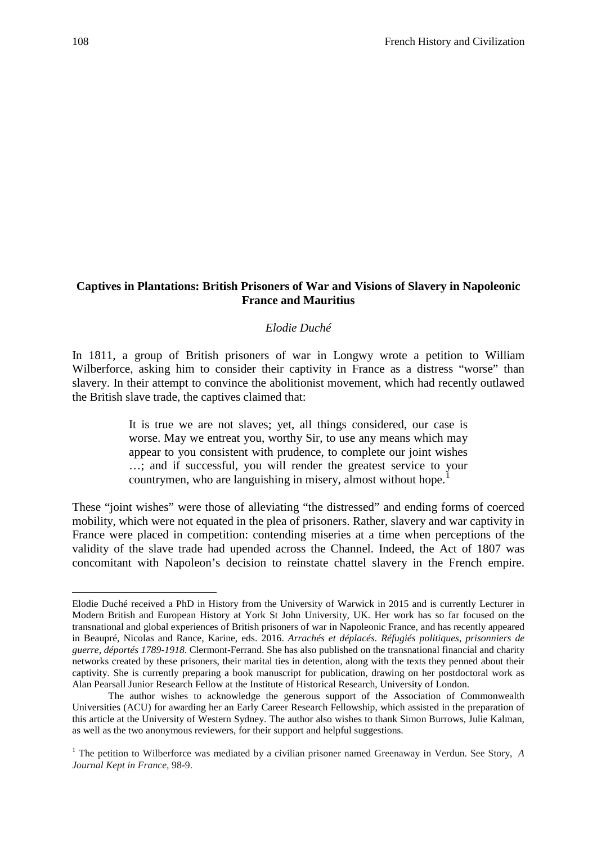## **Captives in Plantations: British Prisoners of War and Visions of Slavery in Napoleonic France and Mauritius**

### *Elodie Duché*

In 1811, a group of British prisoners of war in Longwy wrote a petition to William Wilberforce, asking him to consider their captivity in France as a distress "worse" than slavery. In their attempt to convince the abolitionist movement, which had recently outlawed the British slave trade, the captives claimed that:

> It is true we are not slaves; yet, all things considered, our case is worse. May we entreat you, worthy Sir, to use any means which may appear to you consistent with prudence, to complete our joint wishes …; and if successful, you will render the greatest service to your countrymen, who are languishing in misery, almost without hope.<sup>[1](#page-1-0)</sup>

These "joint wishes" were those of alleviating "the distressed" and ending forms of coerced mobility, which were not equated in the plea of prisoners. Rather, slavery and war captivity in France were placed in competition: contending miseries at a time when perceptions of the validity of the slave trade had upended across the Channel. Indeed, the Act of 1807 was concomitant with Napoleon's decision to reinstate chattel slavery in the French empire.

**.** 

<span id="page-1-0"></span>Elodie Duché received a PhD in History from the University of Warwick in 2015 and is currently Lecturer in Modern British and European History at York St John University, UK. Her work has so far focused on the transnational and global experiences of British prisoners of war in Napoleonic France, and has recently appeared in Beaupré, Nicolas and Rance, Karine, eds. 2016. *Arrachés et déplacés. Réfugiés politiques, prisonniers de guerre, déportés 1789-1918*. Clermont-Ferrand. She has also published on the transnational financial and charity networks created by these prisoners, their marital ties in detention, along with the texts they penned about their captivity. She is currently preparing a book manuscript for publication, drawing on her postdoctoral work as Alan Pearsall Junior Research Fellow at the Institute of Historical Research, University of London.

The author wishes to acknowledge the generous support of the Association of Commonwealth Universities (ACU) for awarding her an Early Career Research Fellowship, which assisted in the preparation of this article at the University of Western Sydney. The author also wishes to thank Simon Burrows, Julie Kalman, as well as the two anonymous reviewers, for their support and helpful suggestions.

<sup>1</sup> The petition to Wilberforce was mediated by a civilian prisoner named Greenaway in Verdun. See Story, *A Journal Kept in France,* 98-9.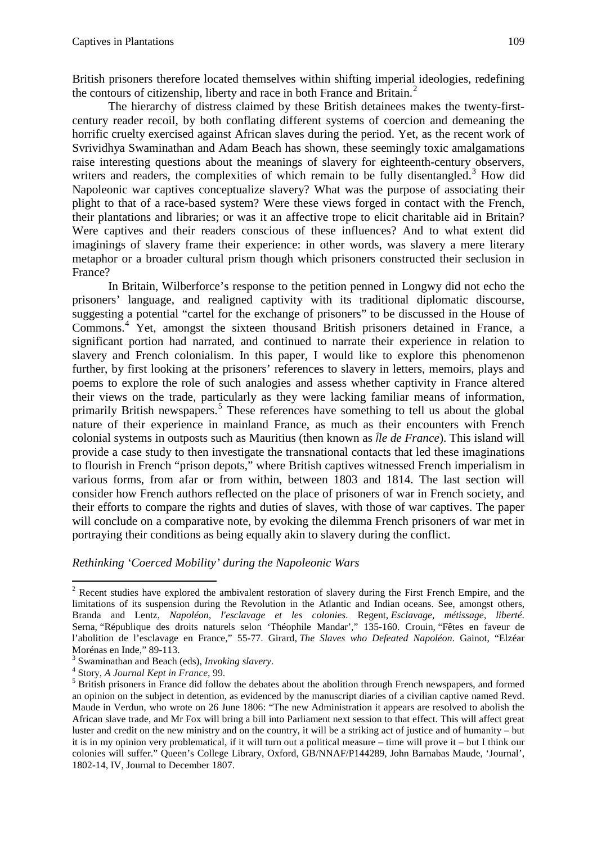British prisoners therefore located themselves within shifting imperial ideologies, redefining the contours of citizenship, liberty and race in both France and Britain.<sup>[2](#page-2-0)</sup>

The hierarchy of distress claimed by these British detainees makes the twenty-firstcentury reader recoil, by both conflating different systems of coercion and demeaning the horrific cruelty exercised against African slaves during the period. Yet, as the recent work of Svrividhya Swaminathan and Adam Beach has shown, these seemingly toxic amalgamations raise interesting questions about the meanings of slavery for eighteenth-century observers, writers and readers, the complexities of which remain to be fully disentangled.<sup>[3](#page-2-1)</sup> How did Napoleonic war captives conceptualize slavery? What was the purpose of associating their plight to that of a race-based system? Were these views forged in contact with the French, their plantations and libraries; or was it an affective trope to elicit charitable aid in Britain? Were captives and their readers conscious of these influences? And to what extent did imaginings of slavery frame their experience: in other words, was slavery a mere literary metaphor or a broader cultural prism though which prisoners constructed their seclusion in France?

In Britain, Wilberforce's response to the petition penned in Longwy did not echo the prisoners' language, and realigned captivity with its traditional diplomatic discourse, suggesting a potential "cartel for the exchange of prisoners" to be discussed in the House of Commons.[4](#page-2-2) Yet, amongst the sixteen thousand British prisoners detained in France, a significant portion had narrated, and continued to narrate their experience in relation to slavery and French colonialism. In this paper, I would like to explore this phenomenon further, by first looking at the prisoners' references to slavery in letters, memoirs, plays and poems to explore the role of such analogies and assess whether captivity in France altered their views on the trade, particularly as they were lacking familiar means of information, primarily British newspapers. [5](#page-2-3) These references have something to tell us about the global nature of their experience in mainland France, as much as their encounters with French colonial systems in outposts such as Mauritius (then known as *Île de France*). This island will provide a case study to then investigate the transnational contacts that led these imaginations to flourish in French "prison depots," where British captives witnessed French imperialism in various forms, from afar or from within, between 1803 and 1814. The last section will consider how French authors reflected on the place of prisoners of war in French society, and their efforts to compare the rights and duties of slaves, with those of war captives. The paper will conclude on a comparative note, by evoking the dilemma French prisoners of war met in portraying their conditions as being equally akin to slavery during the conflict.

*Rethinking 'Coerced Mobility' during the Napoleonic Wars*

<span id="page-2-0"></span><sup>&</sup>lt;sup>2</sup> Recent studies have explored the ambivalent restoration of slavery during the First French Empire, and the limitations of its suspension during the Revolution in the Atlantic and Indian oceans. See, amongst others, Branda and Lentz, *Napoléon, l'esclavage et les colonies*. Regent, *Esclavage, métissage, liberté*. Serna, "République des droits naturels selon 'Théophile Mandar'," 135-160. Crouin, "Fêtes en faveur de l'abolition de l'esclavage en France," 55-77. Girard, *The Slaves who Defeated Napoléon*. Gainot, "Elzéar Morénas en Inde," 89-113.<br>
<sup>3</sup> Swaminathan and Beach (eds), *Invoking slavery*.<br>
<sup>4</sup> Story, *A Journal Kept in France*, 99.<br>
<sup>5</sup> British prisoners in France did follow the debates about the abolition through French newspap

<span id="page-2-1"></span>

<span id="page-2-2"></span>

<span id="page-2-3"></span>an opinion on the subject in detention, as evidenced by the manuscript diaries of a civilian captive named Revd. Maude in Verdun, who wrote on 26 June 1806: "The new Administration it appears are resolved to abolish the African slave trade, and Mr Fox will bring a bill into Parliament next session to that effect. This will affect great luster and credit on the new ministry and on the country, it will be a striking act of justice and of humanity – but it is in my opinion very problematical, if it will turn out a political measure – time will prove it – but I think our colonies will suffer." Queen's College Library, Oxford, GB/NNAF/P144289, John Barnabas Maude, 'Journal', 1802-14, IV, Journal to December 1807.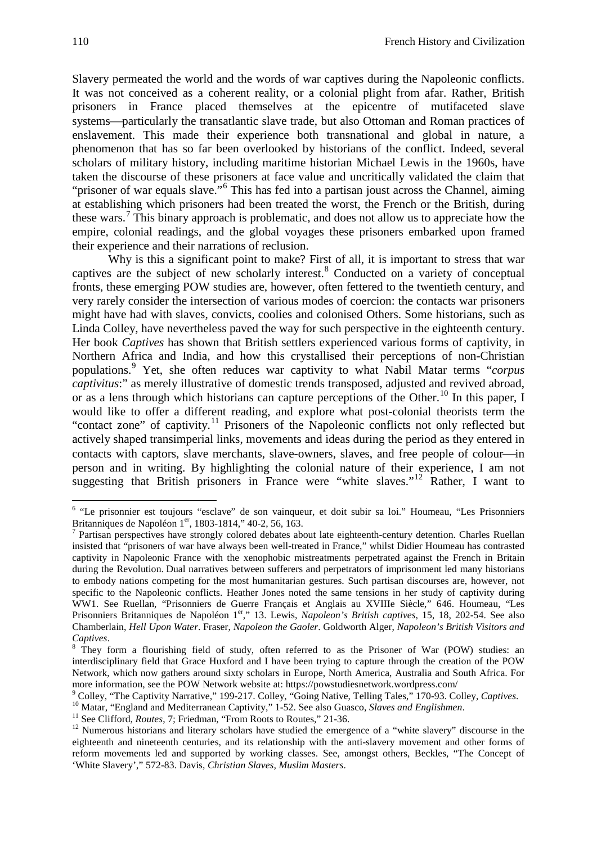Slavery permeated the world and the words of war captives during the Napoleonic conflicts. It was not conceived as a coherent reality, or a colonial plight from afar. Rather, British prisoners in France placed themselves at the epicentre of mutifaceted slave systems—particularly the transatlantic slave trade, but also Ottoman and Roman practices of enslavement. This made their experience both transnational and global in nature, a phenomenon that has so far been overlooked by historians of the conflict. Indeed, several scholars of military history, including maritime historian Michael Lewis in the 1960s, have taken the discourse of these prisoners at face value and uncritically validated the claim that "prisoner of war equals slave."<sup>[6](#page-3-0)</sup> This has fed into a partisan joust across the Channel, aiming at establishing which prisoners had been treated the worst, the French or the British, during these wars.<sup>[7](#page-3-1)</sup> This binary approach is problematic, and does not allow us to appreciate how the empire, colonial readings, and the global voyages these prisoners embarked upon framed their experience and their narrations of reclusion.

Why is this a significant point to make? First of all, it is important to stress that war captives are the subject of new scholarly interest.<sup>[8](#page-3-2)</sup> Conducted on a variety of conceptual fronts, these emerging POW studies are, however, often fettered to the twentieth century, and very rarely consider the intersection of various modes of coercion: the contacts war prisoners might have had with slaves, convicts, coolies and colonised Others. Some historians, such as Linda Colley, have nevertheless paved the way for such perspective in the eighteenth century. Her book *Captives* has shown that British settlers experienced various forms of captivity, in Northern Africa and India, and how this crystallised their perceptions of non-Christian populations. [9](#page-3-3) Yet, she often reduces war captivity to what Nabil Matar terms "*corpus captivitus*:" as merely illustrative of domestic trends transposed, adjusted and revived abroad, or as a lens through which historians can capture perceptions of the Other.<sup>[10](#page-3-4)</sup> In this paper, I would like to offer a different reading, and explore what post-colonial theorists term the "contact zone" of captivity.<sup>[11](#page-3-5)</sup> Prisoners of the Napoleonic conflicts not only reflected but actively shaped transimperial links, movements and ideas during the period as they entered in contacts with captors, slave merchants, slave-owners, slaves, and free people of colour--- in person and in writing. By highlighting the colonial nature of their experience, I am not suggesting that British prisoners in France were "white slaves."<sup>[12](#page-3-6)</sup> Rather, I want to

<span id="page-3-0"></span><sup>&</sup>lt;sup>6</sup> "Le prisonnier est toujours "esclave" de son vainqueur, et doit subir sa loi." Houmeau, "Les Prisonniers Britanniques de Napoléon  $1<sup>er</sup>$ , 1803-1814," 40-2, 56, 163.

<span id="page-3-1"></span>Partisan perspectives have strongly colored debates about late eighteenth-century detention. Charles Ruellan insisted that "prisoners of war have always been well-treated in France," whilst Didier Houmeau has contrasted captivity in Napoleonic France with the xenophobic mistreatments perpetrated against the French in Britain during the Revolution. Dual narratives between sufferers and perpetrators of imprisonment led many historians to embody nations competing for the most humanitarian gestures. Such partisan discourses are, however, not specific to the Napoleonic conflicts. Heather Jones noted the same tensions in her study of captivity during WW1. See Ruellan, "Prisonniers de Guerre Français et Anglais au XVIIIe Siècle," 646. Houmeau, "Les Prisonniers Britanniques de Napoléon 1<sup>er</sup>," 13. Lewis, *Napoleon's British captives*, 15, 18, 202-54. See also Chamberlain, *Hell Upon Water*. Fraser, *Napoleon the Gaoler*. Goldworth Alger, *Napoleon's British Visitors and* 

<span id="page-3-2"></span><sup>&</sup>lt;sup>8</sup> They form a flourishing field of study, often referred to as the Prisoner of War (POW) studies: an interdisciplinary field that Grace Huxford and I have been trying to capture through the creation of the POW Network, which now gathers around sixty scholars in Europe, North America, Australia and South Africa. For more information, see the POW Network website at: https://powstudiesnetwork.wordpress.com/<br>
<sup>9</sup> Colley, "The Captivity Narrative," 199-217. Colley, "Going Native, Telling Tales," 170-93. Colley, *Captives*.<br>
<sup>10</sup> Matar, "

<span id="page-3-3"></span>

<span id="page-3-4"></span>

<span id="page-3-6"></span><span id="page-3-5"></span>eighteenth and nineteenth centuries, and its relationship with the anti-slavery movement and other forms of reform movements led and supported by working classes. See, amongst others, Beckles, "The Concept of 'White Slavery'," 572-83. Davis, *Christian Slaves, Muslim Masters*.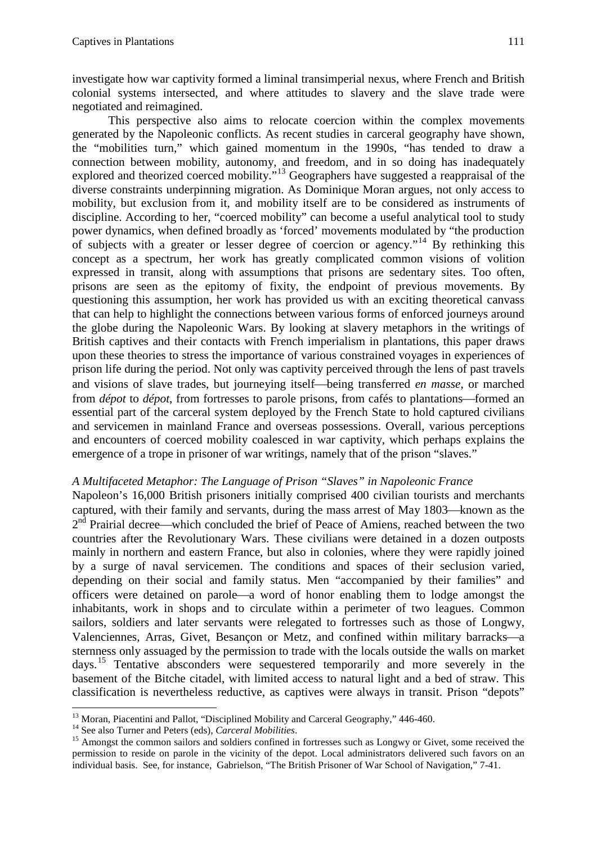investigate how war captivity formed a liminal transimperial nexus, where French and British colonial systems intersected, and where attitudes to slavery and the slave trade were negotiated and reimagined.

This perspective also aims to relocate coercion within the complex movements generated by the Napoleonic conflicts. As recent studies in carceral geography have shown, the "mobilities turn," which gained momentum in the 1990s, "has tended to draw a connection between mobility, autonomy, and freedom, and in so doing has inadequately explored and theorized coerced mobility."<sup>[13](#page-4-0)</sup> Geographers have suggested a reappraisal of the diverse constraints underpinning migration. As Dominique Moran argues, not only access to mobility, but exclusion from it, and mobility itself are to be considered as instruments of discipline. According to her, "coerced mobility" can become a useful analytical tool to study power dynamics, when defined broadly as 'forced' movements modulated by "the production of subjects with a greater or lesser degree of coercion or agency."[14](#page-4-1) By rethinking this concept as a spectrum, her work has greatly complicated common visions of volition expressed in transit, along with assumptions that prisons are sedentary sites. Too often, prisons are seen as the epitomy of fixity, the endpoint of previous movements. By questioning this assumption, her work has provided us with an exciting theoretical canvass that can help to highlight the connections between various forms of enforced journeys around the globe during the Napoleonic Wars. By looking at slavery metaphors in the writings of British captives and their contacts with French imperialism in plantations, this paper draws upon these theories to stress the importance of various constrained voyages in experiences of prison life during the period. Not only was captivity perceived through the lens of past travels and visions of slave trades, but journeying itself—being transferred *en masse*, or marched from *dépot* to *dépot*, from fortresses to parole prisons, from cafés to plantations—formed an essential part of the carceral system deployed by the French State to hold captured civilians and servicemen in mainland France and overseas possessions. Overall, various perceptions and encounters of coerced mobility coalesced in war captivity, which perhaps explains the emergence of a trope in prisoner of war writings, namely that of the prison "slaves."

#### *A Multifaceted Metaphor: The Language of Prison "Slaves" in Napoleonic France*

Napoleon's 16,000 British prisoners initially comprised 400 civilian tourists and merchants captured, with their family and servants, during the mass arrest of May 1803—known as the  $2<sup>nd</sup>$  Prairial decree—which concluded the brief of Peace of Amiens, reached between the two countries after the Revolutionary Wars. These civilians were detained in a dozen outposts mainly in northern and eastern France, but also in colonies, where they were rapidly joined by a surge of naval servicemen. The conditions and spaces of their seclusion varied, depending on their social and family status. Men "accompanied by their families" and officers were detained on parole—a word of honor enabling them to lodge amongst the inhabitants, work in shops and to circulate within a perimeter of two leagues. Common sailors, soldiers and later servants were relegated to fortresses such as those of Longwy, Valenciennes, Arras, Givet, Besançon or Metz, and confined within military barracks-a sternness only assuaged by the permission to trade with the locals outside the walls on market days. [15](#page-4-2) Tentative absconders were sequestered temporarily and more severely in the basement of the Bitche citadel, with limited access to natural light and a bed of straw. This classification is nevertheless reductive, as captives were always in transit. Prison "depots"

<span id="page-4-2"></span><span id="page-4-1"></span>

<span id="page-4-0"></span><sup>&</sup>lt;sup>13</sup> Moran, Piacentini and Pallot, "Disciplined Mobility and Carceral Geography," 446-460.<br><sup>14</sup> See also Turner and Peters (eds), *Carceral Mobilities*.<br><sup>15</sup> Amongst the common sailors and soldiers confined in fortresses permission to reside on parole in the vicinity of the depot. Local administrators delivered such favors on an individual basis. See, for instance, Gabrielson, "The British Prisoner of War School of Navigation," 7-41.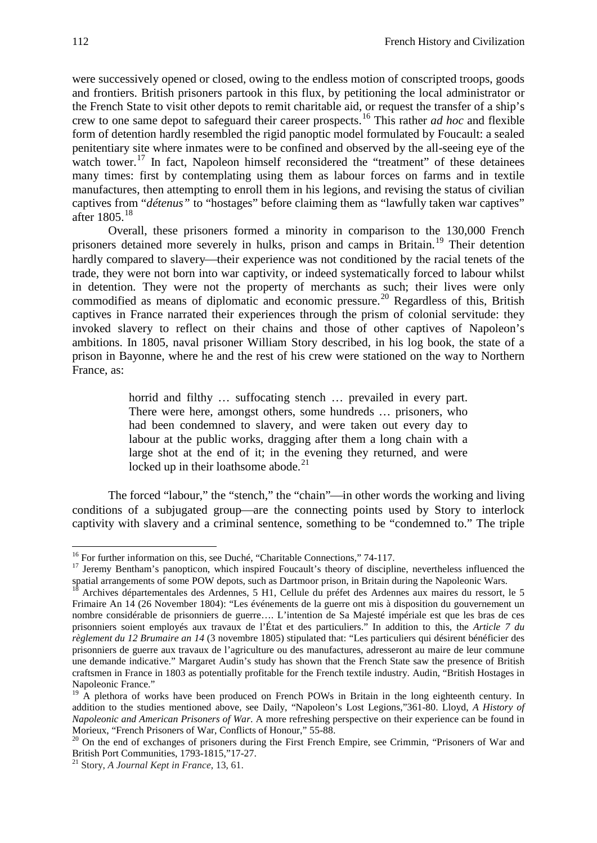were successively opened or closed, owing to the endless motion of conscripted troops, goods and frontiers. British prisoners partook in this flux, by petitioning the local administrator or the French State to visit other depots to remit charitable aid, or request the transfer of a ship's crew to one same depot to safeguard their career prospects. [16](#page-5-0) This rather *ad hoc* and flexible form of detention hardly resembled the rigid panoptic model formulated by Foucault: a sealed penitentiary site where inmates were to be confined and observed by the all-seeing eye of the watch tower.<sup>[17](#page-5-1)</sup> In fact, Napoleon himself reconsidered the "treatment" of these detainees many times: first by contemplating using them as labour forces on farms and in textile manufactures, then attempting to enroll them in his legions, and revising the status of civilian captives from "*détenus"* to "hostages" before claiming them as "lawfully taken war captives" after 1805.[18](#page-5-2)

Overall, these prisoners formed a minority in comparison to the 130,000 French prisoners detained more severely in hulks, prison and camps in Britain.<sup>[19](#page-5-3)</sup> Their detention hardly compared to slavery—their experience was not conditioned by the racial tenets of the trade, they were not born into war captivity, or indeed systematically forced to labour whilst in detention. They were not the property of merchants as such; their lives were only commodified as means of diplomatic and economic pressure.<sup>[20](#page-5-4)</sup> Regardless of this, British captives in France narrated their experiences through the prism of colonial servitude: they invoked slavery to reflect on their chains and those of other captives of Napoleon's ambitions. In 1805, naval prisoner William Story described, in his log book, the state of a prison in Bayonne, where he and the rest of his crew were stationed on the way to Northern France, as:

> horrid and filthy ... suffocating stench ... prevailed in every part. There were here, amongst others, some hundreds … prisoners, who had been condemned to slavery, and were taken out every day to labour at the public works, dragging after them a long chain with a large shot at the end of it; in the evening they returned, and were locked up in their loathsome abode.<sup>[21](#page-5-5)</sup>

The forced "labour," the "stench," the "chain"—in other words the working and living conditions of a subjugated group—are the connecting points used by Story to interlock captivity with slavery and a criminal sentence, something to be "condemned to." The triple

<span id="page-5-1"></span><span id="page-5-0"></span><sup>&</sup>lt;sup>16</sup> For further information on this, see Duché, "Charitable Connections," 74-117.<br><sup>17</sup> Jeremy Bentham's panopticon, which inspired Foucault's theory of discipline, nevertheless influenced the spatial arrangements of some POW depots, such as Dartmoor prison, in Britain during the Napoleonic Wars.

<span id="page-5-2"></span> $18$  Archives départementales des Ardennes, 5 H1, Cellule du préfet des Ardennes aux maires du ressort, le 5 Frimaire An 14 (26 November 1804): "Les événements de la guerre ont mis à disposition du gouvernement un nombre considérable de prisonniers de guerre…. L'intention de Sa Majesté impériale est que les bras de ces prisonniers soient employés aux travaux de l'État et des particuliers." In addition to this, the *Article 7 du règlement du 12 Brumaire an 14* (3 novembre 1805) stipulated that: "Les particuliers qui désirent bénéficier des prisonniers de guerre aux travaux de l'agriculture ou des manufactures, adresseront au maire de leur commune une demande indicative." Margaret Audin's study has shown that the French State saw the presence of British craftsmen in France in 1803 as potentially profitable for the French textile industry. Audin, "British Hostages in Napoleonic France."

<span id="page-5-3"></span><sup>&</sup>lt;sup>19</sup> A plethora of works have been produced on French POWs in Britain in the long eighteenth century. In addition to the studies mentioned above, see Daily, "Napoleon's Lost Legions,"361-80. Lloyd, *A History of Napoleonic and American Prisoners of War*. A more refreshing perspective on their experience can be found in

<span id="page-5-4"></span>Morieux, "French Prisoners of War, Conflicts of Honour," 55-88.<br><sup>20</sup> On the end of exchanges of prisoners during the First French Empire, see Crimmin, "Prisoners of War and British Port Communities, 1793-1815,"17-27. <sup>21</sup> Story, *A Journal Kept in France*, 13, 61.

<span id="page-5-5"></span>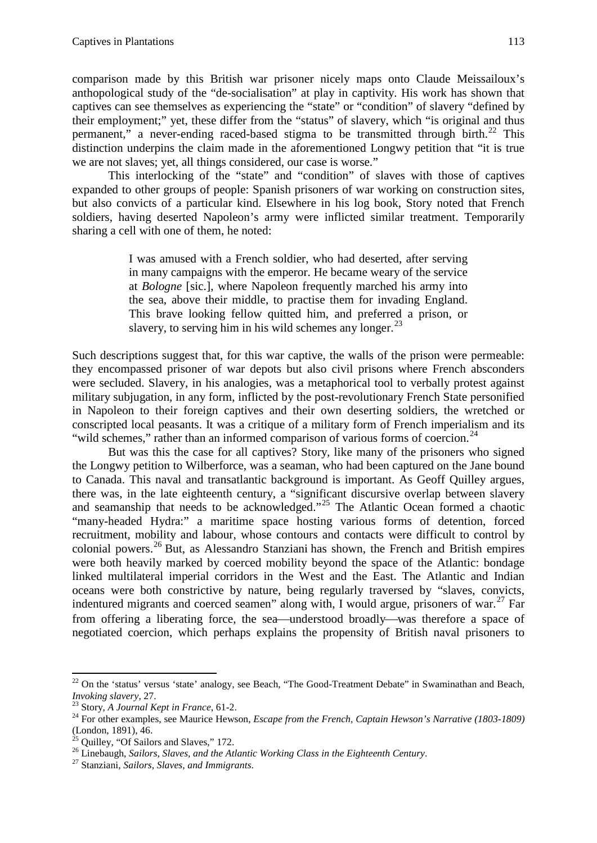comparison made by this British war prisoner nicely maps onto Claude Meissailoux's anthopological study of the "de-socialisation" at play in captivity. His work has shown that captives can see themselves as experiencing the "state" or "condition" of slavery "defined by their employment;" yet, these differ from the "status" of slavery, which "is original and thus permanent," a never-ending raced-based stigma to be transmitted through birth. $^{22}$  $^{22}$  $^{22}$  This distinction underpins the claim made in the aforementioned Longwy petition that "it is true we are not slaves; yet, all things considered, our case is worse."

This interlocking of the "state" and "condition" of slaves with those of captives expanded to other groups of people: Spanish prisoners of war working on construction sites, but also convicts of a particular kind. Elsewhere in his log book, Story noted that French soldiers, having deserted Napoleon's army were inflicted similar treatment. Temporarily sharing a cell with one of them, he noted:

> I was amused with a French soldier, who had deserted, after serving in many campaigns with the emperor. He became weary of the service at *Bologne* [sic.], where Napoleon frequently marched his army into the sea, above their middle, to practise them for invading England. This brave looking fellow quitted him, and preferred a prison, or slavery, to serving him in his wild schemes any longer.<sup>[23](#page-6-1)</sup>

Such descriptions suggest that, for this war captive, the walls of the prison were permeable: they encompassed prisoner of war depots but also civil prisons where French absconders were secluded. Slavery, in his analogies, was a metaphorical tool to verbally protest against military subjugation, in any form, inflicted by the post-revolutionary French State personified in Napoleon to their foreign captives and their own deserting soldiers, the wretched or conscripted local peasants. It was a critique of a military form of French imperialism and its "wild schemes," rather than an informed comparison of various forms of coercion.<sup>[24](#page-6-2)</sup>

But was this the case for all captives? Story, like many of the prisoners who signed the Longwy petition to Wilberforce, was a seaman, who had been captured on the Jane bound to Canada. This naval and transatlantic background is important. As Geoff Quilley argues, there was, in the late eighteenth century, a "significant discursive overlap between slavery and seamanship that needs to be acknowledged."<sup>[25](#page-6-3)</sup> The Atlantic Ocean formed a chaotic "many-headed Hydra:" a maritime space hosting various forms of detention, forced recruitment, mobility and labour, whose contours and contacts were difficult to control by colonial powers.[26](#page-6-4) But, as Alessandro Stanziani has shown, the French and British empires were both heavily marked by coerced mobility beyond the space of the Atlantic: bondage linked multilateral imperial corridors in the West and the East. The Atlantic and Indian oceans were both constrictive by nature, being regularly traversed by "slaves, convicts, indentured migrants and coerced seamen" along with, I would argue, prisoners of war.<sup>[27](#page-6-5)</sup> Far from offering a liberating force, the sea—understood broadly—was therefore a space of negotiated coercion, which perhaps explains the propensity of British naval prisoners to

<span id="page-6-0"></span><sup>&</sup>lt;sup>22</sup> On the 'status' versus 'state' analogy, see Beach, "The Good-Treatment Debate" in Swaminathan and Beach, *Invoking slavery, 27.*<br><sup>23</sup> Story, *A Journal Kept in France*, 61-2.<br><sup>24</sup> For other examples, see Maurice Hewson, *Escape from the French, Captain Hewson's Narrative (1803-1809)* 

<span id="page-6-2"></span><span id="page-6-1"></span><sup>(</sup>London, 1891), 46.<br>
<sup>25</sup> Ouilley, "Of Sailors and Slaves," 172.

<span id="page-6-4"></span><span id="page-6-3"></span><sup>&</sup>lt;sup>26</sup> Linebaugh, *Sailors, Slaves, and the Atlantic Working Class in the Eighteenth Century.* <sup>27</sup> Stanziani, *Sailors, Slaves, and Immigrants*.

<span id="page-6-5"></span>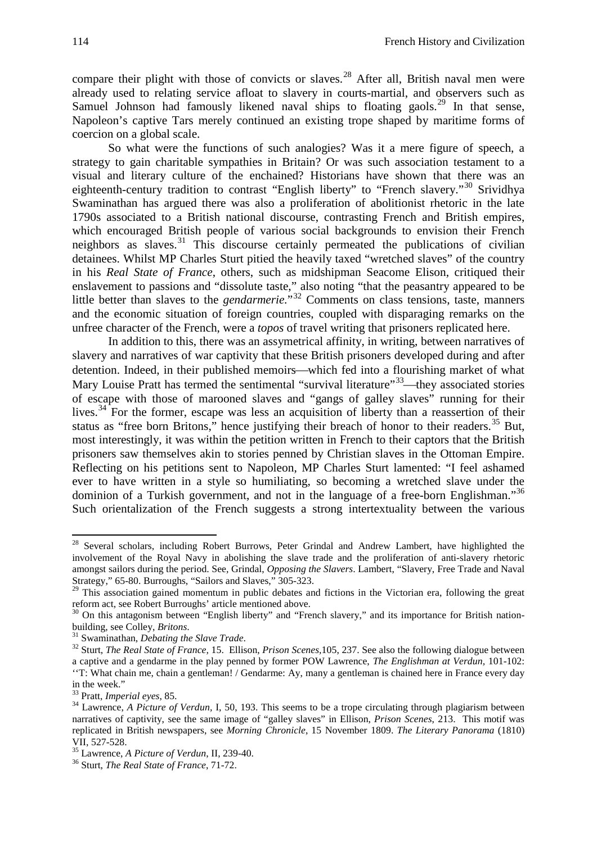compare their plight with those of convicts or slaves.<sup>[28](#page-7-0)</sup> After all, British naval men were already used to relating service afloat to slavery in courts-martial, and observers such as Samuel Johnson had famously likened naval ships to floating gaols.<sup>[29](#page-7-1)</sup> In that sense, Napoleon's captive Tars merely continued an existing trope shaped by maritime forms of coercion on a global scale.

So what were the functions of such analogies? Was it a mere figure of speech, a strategy to gain charitable sympathies in Britain? Or was such association testament to a visual and literary culture of the enchained? Historians have shown that there was an eighteenth-century tradition to contrast "English liberty" to "French slavery."<sup>[30](#page-7-2)</sup> Srividhya Swaminathan has argued there was also a proliferation of abolitionist rhetoric in the late 1790s associated to a British national discourse, contrasting French and British empires, which encouraged British people of various social backgrounds to envision their French neighbors as slaves.<sup>[31](#page-7-3)</sup> This discourse certainly permeated the publications of civilian detainees. Whilst MP Charles Sturt pitied the heavily taxed "wretched slaves" of the country in his *Real State of France*, others, such as midshipman Seacome Elison, critiqued their enslavement to passions and "dissolute taste," also noting "that the peasantry appeared to be little better than slaves to the *gendarmerie*."<sup>[32](#page-7-4)</sup> Comments on class tensions, taste, manners and the economic situation of foreign countries, coupled with disparaging remarks on the unfree character of the French, were a *topos* of travel writing that prisoners replicated here.

In addition to this, there was an assymetrical affinity, in writing, between narratives of slavery and narratives of war captivity that these British prisoners developed during and after detention. Indeed, in their published memoirs—which fed into a flourishing market of what Mary Louise Pratt has termed the sentimental "survival literature" $33$ —they associated stories of escape with those of marooned slaves and "gangs of galley slaves" running for their lives.<sup>[34](#page-7-6)</sup> For the former, escape was less an acquisition of liberty than a reassertion of their status as "free born Britons," hence justifying their breach of honor to their readers.<sup>[35](#page-7-7)</sup> But, most interestingly, it was within the petition written in French to their captors that the British prisoners saw themselves akin to stories penned by Christian slaves in the Ottoman Empire. Reflecting on his petitions sent to Napoleon, MP Charles Sturt lamented: "I feel ashamed ever to have written in a style so humiliating, so becoming a wretched slave under the dominion of a Turkish government, and not in the language of a free-born Englishman."<sup>[36](#page-7-8)</sup> Such orientalization of the French suggests a strong intertextuality between the various

<span id="page-7-0"></span><sup>&</sup>lt;sup>28</sup> Several scholars, including Robert Burrows, Peter Grindal and Andrew Lambert, have highlighted the involvement of the Royal Navy in abolishing the slave trade and the proliferation of anti-slavery rhetoric amongst sailors during the period. See, Grindal, *Opposing the Slavers*. Lambert, "Slavery, Free Trade and Naval Strategy," 65-80. Burroughs, "Sailors and Slaves," 305-323.

<span id="page-7-1"></span><sup>&</sup>lt;sup>29</sup> This association gained momentum in public debates and fictions in the Victorian era, following the great reform act, see Robert Burroughs' article mentioned above.<br><sup>30</sup> On this antagonism between "English liberty" and "French slavery," and its importance for British nation-

<span id="page-7-2"></span>building, see Colley, *Britons.*<br><sup>31</sup> Swaminathan, *Debating the Slave Trade.*<br><sup>32</sup> Sturt, *The Real State of France*, 15. Ellison, *Prison Scenes*,105, 237. See also the following dialogue between

<span id="page-7-4"></span><span id="page-7-3"></span>a captive and a gendarme in the play penned by former POW Lawrence, *The Englishman at Verdun,* 101-102: ''T: What chain me, chain a gentleman! / Gendarme: Ay, many a gentleman is chained here in France every day in the week."<br> $33$  Pratt, *Imperial eyes*, 85.

<span id="page-7-6"></span><span id="page-7-5"></span><sup>&</sup>lt;sup>34</sup> Lawrence, *A Picture of Verdun*, I, 50, 193. This seems to be a trope circulating through plagiarism between narratives of captivity, see the same image of "galley slaves" in Ellison, *Prison Scenes*, 213. This motif was replicated in British newspapers, see *Morning Chronicle*, 15 November 1809. *The Literary Panorama* (1810) VII, 527-528. <sup>35</sup> Lawrence, *<sup>A</sup> Picture of Verdun*, II, 239-40. 36 Sturt, *The Real State of France*, 71-72.

<span id="page-7-7"></span>

<span id="page-7-8"></span>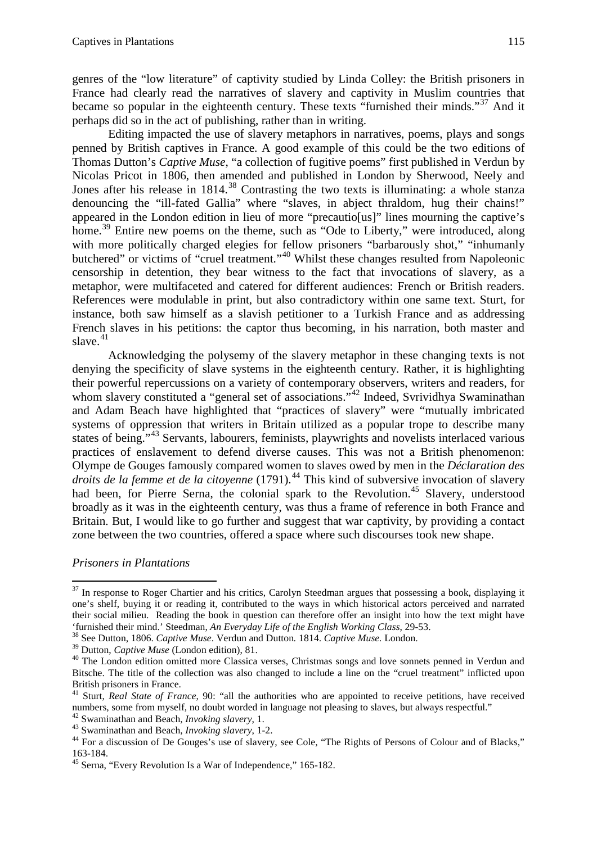genres of the "low literature" of captivity studied by Linda Colley: the British prisoners in France had clearly read the narratives of slavery and captivity in Muslim countries that became so popular in the eighteenth century. These texts "furnished their minds."<sup>[37](#page-8-0)</sup> And it perhaps did so in the act of publishing, rather than in writing.

Editing impacted the use of slavery metaphors in narratives, poems, plays and songs penned by British captives in France. A good example of this could be the two editions of Thomas Dutton's *Captive Muse*, "a collection of fugitive poems" first published in Verdun by Nicolas Pricot in 1806, then amended and published in London by Sherwood, Neely and Jones after his release in 1814.<sup>[38](#page-8-1)</sup> Contrasting the two texts is illuminating: a whole stanza denouncing the "ill-fated Gallia" where "slaves, in abject thraldom, hug their chains!" appeared in the London edition in lieu of more "precautio[us]" lines mourning the captive's home.<sup>[39](#page-8-2)</sup> Entire new poems on the theme, such as "Ode to Liberty," were introduced, along with more politically charged elegies for fellow prisoners "barbarously shot," "inhumanly butchered" or victims of "cruel treatment."<sup>[40](#page-8-3)</sup> Whilst these changes resulted from Napoleonic censorship in detention, they bear witness to the fact that invocations of slavery, as a metaphor, were multifaceted and catered for different audiences: French or British readers. References were modulable in print, but also contradictory within one same text. Sturt, for instance, both saw himself as a slavish petitioner to a Turkish France and as addressing French slaves in his petitions: the captor thus becoming, in his narration, both master and slave. $41$ 

Acknowledging the polysemy of the slavery metaphor in these changing texts is not denying the specificity of slave systems in the eighteenth century. Rather, it is highlighting their powerful repercussions on a variety of contemporary observers, writers and readers, for whom slavery constituted a "general set of associations."<sup>[42](#page-8-5)</sup> Indeed, Svrividhya Swaminathan and Adam Beach have highlighted that "practices of slavery" were "mutually imbricated systems of oppression that writers in Britain utilized as a popular trope to describe many states of being."<sup>[43](#page-8-6)</sup> Servants, labourers, feminists, playwrights and novelists interlaced various practices of enslavement to defend diverse causes. This was not a British phenomenon: Olympe de Gouges famously compared women to slaves owed by men in the *Déclaration des droits de la femme et de la citoyenne* (1791).[44](#page-8-7) This kind of subversive invocation of slavery had been, for Pierre Serna, the colonial spark to the Revolution.<sup>[45](#page-8-8)</sup> Slavery, understood broadly as it was in the eighteenth century, was thus a frame of reference in both France and Britain. But, I would like to go further and suggest that war captivity, by providing a contact zone between the two countries, offered a space where such discourses took new shape.

*Prisoners in Plantations*

<span id="page-8-0"></span> $37$  In response to Roger Chartier and his critics, Carolyn Steedman argues that possessing a book, displaying it one's shelf, buying it or reading it, contributed to the ways in which historical actors perceived and narrated their social milieu. Reading the book in question can therefore offer an insight into how the text might have 'furnished their mind.' Steedman, *An Everyday Life of the English Working Class*, 29-53. <sup>38</sup> See Dutton, 1806. *Captive Muse*. Verdun and Dutton*.* 1814. *Captive Muse.* London.

<span id="page-8-1"></span>

<span id="page-8-3"></span><span id="page-8-2"></span><sup>&</sup>lt;sup>40</sup> The London edition omitted more Classica verses, Christmas songs and love sonnets penned in Verdun and Bitsche. The title of the collection was also changed to include a line on the "cruel treatment" inflicted upon British prisoners in France. 41 Sturt, *Real State of France*, 90: "all the authorities who are appointed to receive petitions, have received

<span id="page-8-4"></span>numbers, some from myself, no doubt worded in language not pleasing to slaves, but always respectful."<br><sup>42</sup> Swaminathan and Beach, *Invoking slavery*, 1.

<span id="page-8-6"></span><span id="page-8-5"></span><sup>43</sup> Swaminathan and Beach, *Invoking slavery*, 1-2.<br><sup>44</sup> For a discussion of De Gouges's use of slavery, see Cole, "The Rights of Persons of Colour and of Blacks,"

<span id="page-8-8"></span><span id="page-8-7"></span><sup>163-184.</sup> <sup>45</sup> Serna, "Every Revolution Is a War of Independence," 165-182.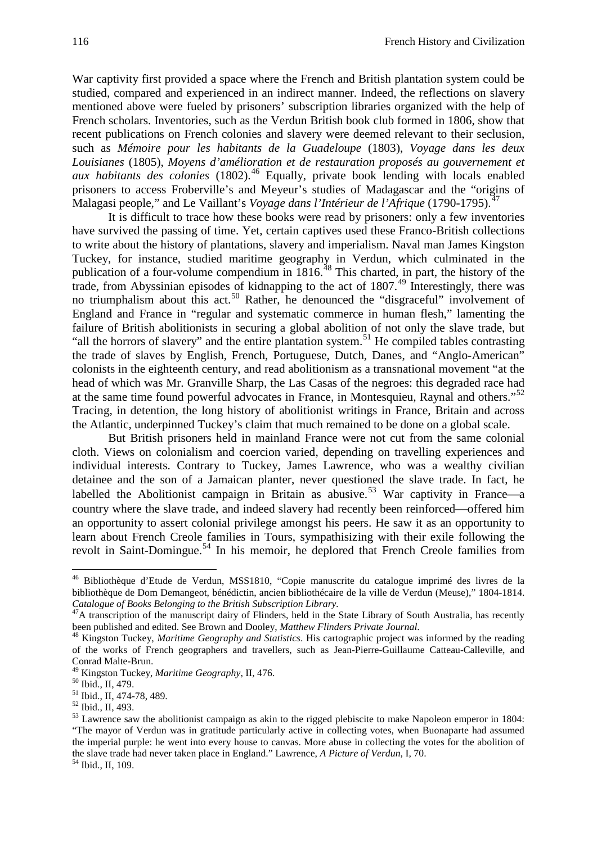War captivity first provided a space where the French and British plantation system could be studied, compared and experienced in an indirect manner. Indeed, the reflections on slavery mentioned above were fueled by prisoners' subscription libraries organized with the help of French scholars. Inventories, such as the Verdun British book club formed in 1806, show that recent publications on French colonies and slavery were deemed relevant to their seclusion, such as *Mémoire pour les habitants de la Guadeloupe* (1803), *Voyage dans les deux Louisianes* (1805), *Moyens d'amélioration et de restauration proposés au gouvernement et aux habitants des colonies* (1802). [46](#page-9-0) Equally, private book lending with locals enabled prisoners to access Froberville's and Meyeur's studies of Madagascar and the "origins of Malagasi people," and Le Vaillant's *Voyage dans l'Intérieur de l'Afrique* (1790-1795).<sup>[47](#page-9-1)</sup>

It is difficult to trace how these books were read by prisoners: only a few inventories have survived the passing of time. Yet, certain captives used these Franco-British collections to write about the history of plantations, slavery and imperialism. Naval man James Kingston Tuckey, for instance, studied maritime geography in Verdun, which culminated in the publication of a four-volume compendium in 1816.<sup>[48](#page-9-2)</sup> This charted, in part, the history of the trade, from Abyssinian episodes of kidnapping to the act of 1807.[49](#page-9-3) Interestingly, there was no triumphalism about this act.<sup>[50](#page-9-4)</sup> Rather, he denounced the "disgraceful" involvement of England and France in "regular and systematic commerce in human flesh," lamenting the failure of British abolitionists in securing a global abolition of not only the slave trade, but "all the horrors of slavery" and the entire plantation system.<sup>[51](#page-9-5)</sup> He compiled tables contrasting the trade of slaves by English, French, Portuguese, Dutch, Danes, and "Anglo-American" colonists in the eighteenth century, and read abolitionism as a transnational movement "at the head of which was Mr. Granville Sharp, the Las Casas of the negroes: this degraded race had at the same time found powerful advocates in France, in Montesquieu, Raynal and others."[52](#page-9-6) Tracing, in detention, the long history of abolitionist writings in France, Britain and across the Atlantic, underpinned Tuckey's claim that much remained to be done on a global scale.

But British prisoners held in mainland France were not cut from the same colonial cloth. Views on colonialism and coercion varied, depending on travelling experiences and individual interests. Contrary to Tuckey, James Lawrence, who was a wealthy civilian detainee and the son of a Jamaican planter, never questioned the slave trade. In fact, he labelled the Abolitionist campaign in Britain as abusive.<sup>[53](#page-9-7)</sup> War captivity in France—a country where the slave trade, and indeed slavery had recently been reinforced—offered him an opportunity to assert colonial privilege amongst his peers. He saw it as an opportunity to learn about French Creole families in Tours, sympathisizing with their exile following the revolt in Saint-Domingue.<sup>[54](#page-9-8)</sup> In his memoir, he deplored that French Creole families from

<span id="page-9-0"></span><sup>46</sup> Bibliothèque d'Etude de Verdun, MSS1810, "Copie manuscrite du catalogue imprimé des livres de la bibliothèque de Dom Demangeot, bénédictin, ancien bibliothécaire de la ville de Verdun (Meuse)," 1804-1814.

<span id="page-9-1"></span>*Catalogue of Books Belonging to the British Subscription Library.*<br><sup>47</sup>A transcription of the manuscript dairy of Flinders, held in the State Library of South Australia, has recently<br>been published and edited. See Brown a

<span id="page-9-2"></span><sup>&</sup>lt;sup>48</sup> Kingston Tuckey, *Maritime Geography and Statistics*. His cartographic project was informed by the reading of the works of French geographers and travellers, such as Jean-Pierre-Guillaume Catteau-Calleville, and Conrad Malte-Brun.<br><sup>49</sup> Kingston Tuckey, *Maritime Geography*, II, 476.<br><sup>50</sup> Ibid., II, 479.<br><sup>51</sup> Ibid., II, 474-78, 489.<br><sup>52</sup> Ibid., II, 493.<br><sup>52</sup> Ibid., II, 493.<br><sup>53</sup> Lawrence saw the abolitionist campaign as akin to th

<span id="page-9-3"></span>

<span id="page-9-4"></span>

<span id="page-9-5"></span>

<span id="page-9-6"></span>

<span id="page-9-7"></span><sup>&</sup>quot;The mayor of Verdun was in gratitude particularly active in collecting votes, when Buonaparte had assumed the imperial purple: he went into every house to canvas. More abuse in collecting the votes for the abolition of the slave trade had never taken place in England." Lawrence, *A Picture of Verdun*, I, 70. 54 Ibid., II, 109.

<span id="page-9-8"></span>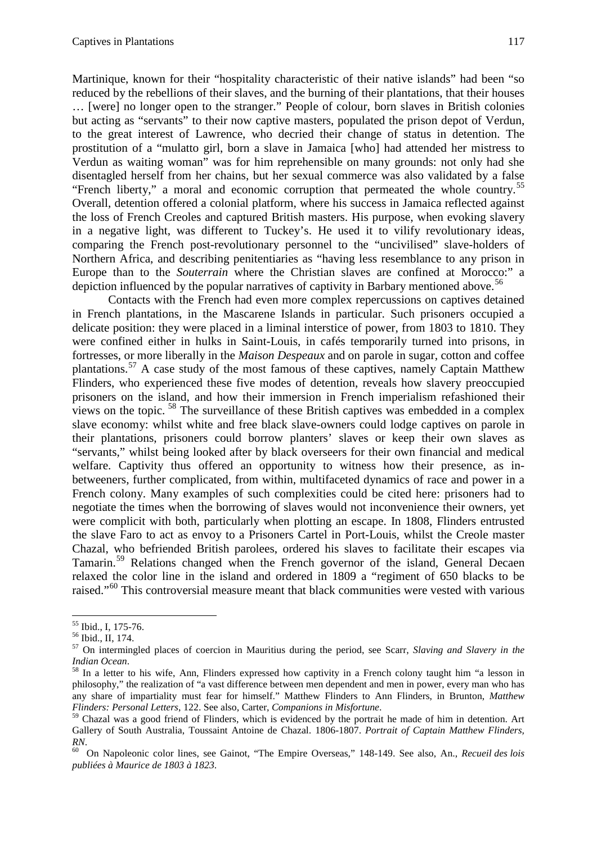Martinique, known for their "hospitality characteristic of their native islands" had been "so reduced by the rebellions of their slaves, and the burning of their plantations, that their houses … [were] no longer open to the stranger." People of colour, born slaves in British colonies but acting as "servants" to their now captive masters, populated the prison depot of Verdun, to the great interest of Lawrence, who decried their change of status in detention. The prostitution of a "mulatto girl, born a slave in Jamaica [who] had attended her mistress to Verdun as waiting woman" was for him reprehensible on many grounds: not only had she disentagled herself from her chains, but her sexual commerce was also validated by a false "French liberty," a moral and economic corruption that permeated the whole country.[55](#page-10-0) Overall, detention offered a colonial platform, where his success in Jamaica reflected against the loss of French Creoles and captured British masters. His purpose, when evoking slavery in a negative light, was different to Tuckey's. He used it to vilify revolutionary ideas, comparing the French post-revolutionary personnel to the "uncivilised" slave-holders of Northern Africa, and describing penitentiaries as "having less resemblance to any prison in Europe than to the *Souterrain* where the Christian slaves are confined at Morocco:" a depiction influenced by the popular narratives of captivity in Barbary mentioned above. [56](#page-10-1) 

Contacts with the French had even more complex repercussions on captives detained in French plantations, in the Mascarene Islands in particular. Such prisoners occupied a delicate position: they were placed in a liminal interstice of power, from 1803 to 1810. They were confined either in hulks in Saint-Louis, in cafés temporarily turned into prisons, in fortresses, or more liberally in the *Maison Despeaux* and on parole in sugar, cotton and coffee plantations.[57](#page-10-2) A case study of the most famous of these captives, namely Captain Matthew Flinders, who experienced these five modes of detention, reveals how slavery preoccupied prisoners on the island, and how their immersion in French imperialism refashioned their views on the topic. [58](#page-10-3) The surveillance of these British captives was embedded in a complex slave economy: whilst white and free black slave-owners could lodge captives on parole in their plantations, prisoners could borrow planters' slaves or keep their own slaves as "servants," whilst being looked after by black overseers for their own financial and medical welfare. Captivity thus offered an opportunity to witness how their presence, as inbetweeners, further complicated, from within, multifaceted dynamics of race and power in a French colony. Many examples of such complexities could be cited here: prisoners had to negotiate the times when the borrowing of slaves would not inconvenience their owners, yet were complicit with both, particularly when plotting an escape. In 1808, Flinders entrusted the slave Faro to act as envoy to a Prisoners Cartel in Port-Louis, whilst the Creole master Chazal, who befriended British parolees, ordered his slaves to facilitate their escapes via Tamarin.[59](#page-10-4) Relations changed when the French governor of the island, General Decaen relaxed the color line in the island and ordered in 1809 a "regiment of 650 blacks to be raised."<sup>[60](#page-10-5)</sup> This controversial measure meant that black communities were vested with various

<span id="page-10-2"></span><span id="page-10-1"></span>

<span id="page-10-0"></span><sup>55</sup> Ibid., I, 175-76. <sup>56</sup> Ibid., II, 174. <sup>57</sup> On intermingled places of coercion in Mauritius during the period, see Scarr, *Slaving and Slavery in the* 

<span id="page-10-3"></span><sup>&</sup>lt;sup>58</sup> In a letter to his wife, Ann, Flinders expressed how captivity in a French colony taught him "a lesson in philosophy," the realization of "a vast difference between men dependent and men in power, every man who has any share of impartiality must fear for himself." Matthew Flinders to Ann Flinders, in Brunton, *Matthew Flinders: Personal Letters*, 122. See also, Carter, *Companions in Misfortune*.<br><sup>59</sup> Chazal was a good friend of Flinders, which is evidenced by the portrait he made of him in detention. Art

<span id="page-10-4"></span>Gallery of South Australia, Toussaint Antoine de Chazal. 1806-1807. *Portrait of Captain Matthew Flinders, RN*. 60 On Napoleonic color lines, see Gainot, "The Empire Overseas," 148-149. See also, An., *Recueil des lois* 

<span id="page-10-5"></span>*publiées à Maurice de 1803 à 1823*.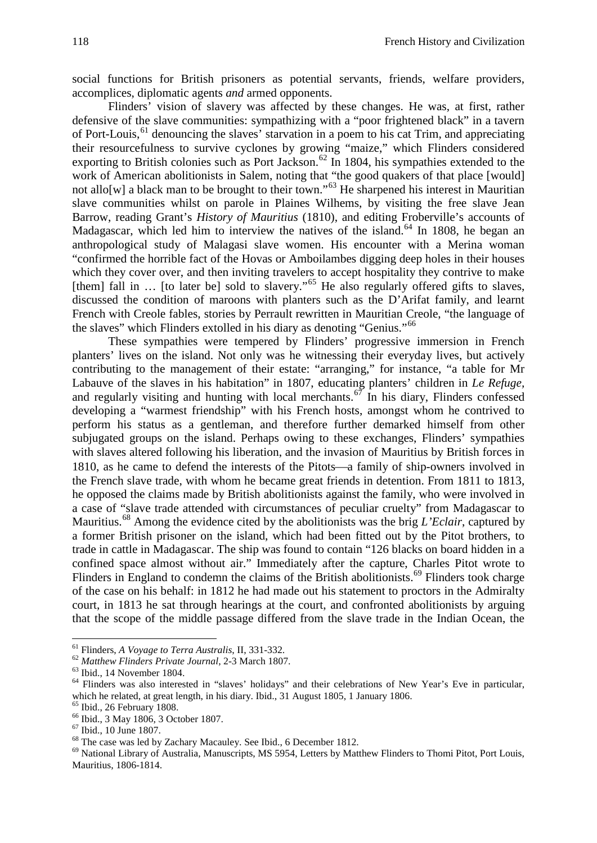social functions for British prisoners as potential servants, friends, welfare providers, accomplices, diplomatic agents *and* armed opponents.

Flinders' vision of slavery was affected by these changes. He was, at first, rather defensive of the slave communities: sympathizing with a "poor frightened black" in a tavern of Port-Louis,<sup>[61](#page-11-0)</sup> denouncing the slaves' starvation in a poem to his cat Trim, and appreciating their resourcefulness to survive cyclones by growing "maize," which Flinders considered exporting to British colonies such as Port Jackson.<sup>[62](#page-11-1)</sup> In 1804, his sympathies extended to the work of American abolitionists in Salem, noting that "the good quakers of that place [would] not allo[w] a black man to be brought to their town."<sup>[63](#page-11-2)</sup> He sharpened his interest in Mauritian slave communities whilst on parole in Plaines Wilhems, by visiting the free slave Jean Barrow, reading Grant's *History of Mauritius* (1810), and editing Froberville's accounts of Madagascar, which led him to interview the natives of the island.<sup>[64](#page-11-3)</sup> In 1808, he began an anthropological study of Malagasi slave women. His encounter with a Merina woman "confirmed the horrible fact of the Hovas or Amboilambes digging deep holes in their houses which they cover over, and then inviting travelers to accept hospitality they contrive to make [them] fall in ... [to later be] sold to slavery."<sup>[65](#page-11-4)</sup> He also regularly offered gifts to slaves, discussed the condition of maroons with planters such as the D'Arifat family, and learnt French with Creole fables, stories by Perrault rewritten in Mauritian Creole, "the language of the slaves" which Flinders extolled in his diary as denoting "Genius."[66](#page-11-5)

These sympathies were tempered by Flinders' progressive immersion in French planters' lives on the island. Not only was he witnessing their everyday lives, but actively contributing to the management of their estate: "arranging," for instance, "a table for Mr Labauve of the slaves in his habitation" in 1807, educating planters' children in *Le Refuge,*  and regularly visiting and hunting with local merchants.<sup>[67](#page-11-6)</sup> In his diary, Flinders confessed developing a "warmest friendship" with his French hosts, amongst whom he contrived to perform his status as a gentleman, and therefore further demarked himself from other subjugated groups on the island. Perhaps owing to these exchanges, Flinders' sympathies with slaves altered following his liberation, and the invasion of Mauritius by British forces in 1810, as he came to defend the interests of the Pitots—a family of ship-owners involved in the French slave trade, with whom he became great friends in detention. From 1811 to 1813, he opposed the claims made by British abolitionists against the family, who were involved in a case of "slave trade attended with circumstances of peculiar cruelty" from Madagascar to Mauritius.[68](#page-11-7) Among the evidence cited by the abolitionists was the brig *L'Eclair*, captured by a former British prisoner on the island, which had been fitted out by the Pitot brothers, to trade in cattle in Madagascar. The ship was found to contain "126 blacks on board hidden in a confined space almost without air." Immediately after the capture, Charles Pitot wrote to Flinders in England to condemn the claims of the British abolitionists.<sup>[69](#page-11-8)</sup> Flinders took charge of the case on his behalf: in 1812 he had made out his statement to proctors in the Admiralty court, in 1813 he sat through hearings at the court, and confronted abolitionists by arguing that the scope of the middle passage differed from the slave trade in the Indian Ocean, the

<span id="page-11-3"></span><span id="page-11-2"></span>

<span id="page-11-1"></span><span id="page-11-0"></span><sup>&</sup>lt;sup>61</sup> Flinders, *A Voyage to Terra Australis*, II, 331-332.<br><sup>62</sup> Matthew Flinders Private Journal, 2-3 March 1807.<br><sup>63</sup> Ibid., 14 November 1804.<br><sup>64</sup> Flinders was also interested in "slaves" holidays" and their celebration which he related, at great length, in his diary. Ibid., 31 August 1805, 1 January 1806.<br>
<sup>65</sup> Ibid., 26 February 1808.<br>
<sup>66</sup> Ibid., 3 May 1806, 3 October 1807.<br>
<sup>67</sup> Ibid., 10 June 1807.<br>
<sup>68</sup> The case was led by Zachary M

<span id="page-11-4"></span>

<span id="page-11-5"></span>

<span id="page-11-6"></span>

<span id="page-11-8"></span><span id="page-11-7"></span>Mauritius, 1806-1814.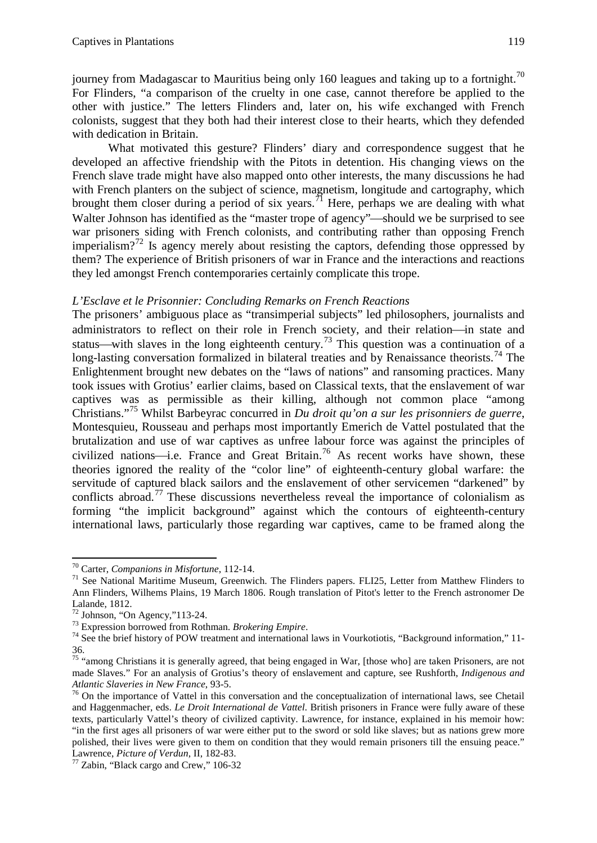journey from Madagascar to Mauritius being only 160 leagues and taking up to a fortnight.<sup>[70](#page-12-0)</sup> For Flinders, "a comparison of the cruelty in one case, cannot therefore be applied to the other with justice." The letters Flinders and, later on, his wife exchanged with French colonists, suggest that they both had their interest close to their hearts, which they defended with dedication in Britain.

What motivated this gesture? Flinders' diary and correspondence suggest that he developed an affective friendship with the Pitots in detention. His changing views on the French slave trade might have also mapped onto other interests, the many discussions he had with French planters on the subject of science, magnetism, longitude and cartography, which brought them closer during a period of six years.<sup>[71](#page-12-1)</sup> Here, perhaps we are dealing with what Walter Johnson has identified as the "master trope of agency"—should we be surprised to see war prisoners siding with French colonists, and contributing rather than opposing French imperialism?<sup>[72](#page-12-2)</sup> Is agency merely about resisting the captors, defending those oppressed by them? The experience of British prisoners of war in France and the interactions and reactions they led amongst French contemporaries certainly complicate this trope.

# *L'Esclave et le Prisonnier: Concluding Remarks on French Reactions*

The prisoners' ambiguous place as "transimperial subjects" led philosophers, journalists and administrators to reflect on their role in French society, and their relation—in state and status—with slaves in the long eighteenth century.<sup>[73](#page-12-3)</sup> This question was a continuation of a long-lasting conversation formalized in bilateral treaties and by Renaissance theorists.<sup>[74](#page-12-4)</sup> The Enlightenment brought new debates on the "laws of nations" and ransoming practices. Many took issues with Grotius' earlier claims, based on Classical texts, that the enslavement of war captives was as permissible as their killing, although not common place "among Christians."[75](#page-12-5) Whilst Barbeyrac concurred in *Du droit qu'on a sur les prisonniers de guerre*, Montesquieu, Rousseau and perhaps most importantly Emerich de Vattel postulated that the brutalization and use of war captives as unfree labour force was against the principles of civilized nations—i.e. France and Great Britain.<sup>[76](#page-12-6)</sup> As recent works have shown, these theories ignored the reality of the "color line" of eighteenth-century global warfare: the servitude of captured black sailors and the enslavement of other servicemen "darkened" by conflicts abroad.<sup>[77](#page-12-7)</sup> These discussions nevertheless reveal the importance of colonialism as forming "the implicit background" against which the contours of eighteenth-century international laws, particularly those regarding war captives, came to be framed along the

<span id="page-12-1"></span><span id="page-12-0"></span><sup>&</sup>lt;sup>70</sup> Carter, *Companions in Misfortune*, 112-14.<br><sup>71</sup> See National Maritime Museum, Greenwich. The Flinders papers. FLI25, Letter from Matthew Flinders to Ann Flinders, Wilhems Plains, 19 March 1806. Rough translation of Pitot's letter to the French astronomer De Lalande, 1812.<br><sup>72</sup> Johnson, "On Agency,"113-24.

<span id="page-12-4"></span><span id="page-12-3"></span><span id="page-12-2"></span><sup>&</sup>lt;sup>73</sup> Expression borrowed from Rothman. *Brokering Empire*.<br><sup>74</sup> See the brief history of POW treatment and international laws in Vourkotiotis, "Background information," 11-36.

<span id="page-12-5"></span><sup>&</sup>lt;sup>75</sup> "among Christians it is generally agreed, that being engaged in War, [those who] are taken Prisoners, are not made Slaves." For an analysis of Grotius's theory of enslavement and capture, see Rushforth, *Indigenous and Atlantic Slaveries in New France*, 93-5.<br><sup>76</sup> On the importance of Vattel in this conversation and the conceptualization of international laws, see Chetail

<span id="page-12-6"></span>and Haggenmacher, eds. *Le Droit International de Vattel*. British prisoners in France were fully aware of these texts, particularly Vattel's theory of civilized captivity. Lawrence, for instance, explained in his memoir how: "in the first ages all prisoners of war were either put to the sword or sold like slaves; but as nations grew more polished, their lives were given to them on condition that they would remain prisoners till the ensuing peace."<br>Lawrence, Picture of Verdun, II, 182-83.

<span id="page-12-7"></span><sup>&</sup>lt;sup>77</sup> Zabin, "Black cargo and Crew," 106-32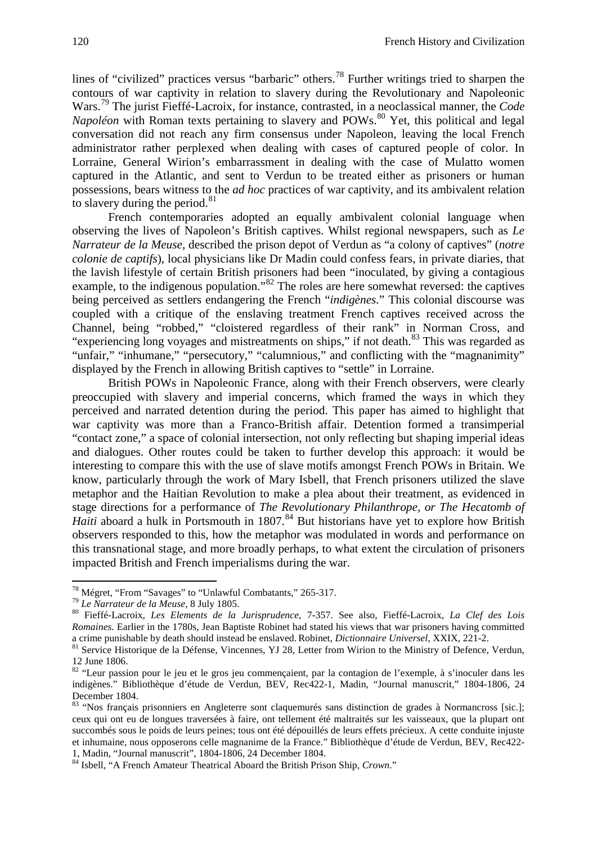lines of "civilized" practices versus "barbaric" others.[78](#page-13-0) Further writings tried to sharpen the contours of war captivity in relation to slavery during the Revolutionary and Napoleonic Wars. [79](#page-13-1) The jurist Fieffé-Lacroix, for instance, contrasted, in a neoclassical manner, the *Code Napoléon* with Roman texts pertaining to slavery and POWs.<sup>[80](#page-13-2)</sup> Yet, this political and legal conversation did not reach any firm consensus under Napoleon, leaving the local French administrator rather perplexed when dealing with cases of captured people of color. In Lorraine, General Wirion's embarrassment in dealing with the case of Mulatto women captured in the Atlantic, and sent to Verdun to be treated either as prisoners or human possessions, bears witness to the *ad hoc* practices of war captivity, and its ambivalent relation to slavery during the period. $81$ 

French contemporaries adopted an equally ambivalent colonial language when observing the lives of Napoleon's British captives. Whilst regional newspapers, such as *Le Narrateur de la Meuse*, described the prison depot of Verdun as "a colony of captives" (*notre colonie de captifs*), local physicians like Dr Madin could confess fears, in private diaries, that the lavish lifestyle of certain British prisoners had been "inoculated, by giving a contagious example, to the indigenous population."<sup>[82](#page-13-4)</sup> The roles are here somewhat reversed: the captives being perceived as settlers endangering the French "*indigènes.*" This colonial discourse was coupled with a critique of the enslaving treatment French captives received across the Channel, being "robbed," "cloistered regardless of their rank" in Norman Cross, and "experiencing long voyages and mistreatments on ships," if not death.<sup>[83](#page-13-5)</sup> This was regarded as "unfair," "inhumane," "persecutory," "calumnious," and conflicting with the "magnanimity" displayed by the French in allowing British captives to "settle" in Lorraine.

British POWs in Napoleonic France, along with their French observers, were clearly preoccupied with slavery and imperial concerns, which framed the ways in which they perceived and narrated detention during the period. This paper has aimed to highlight that war captivity was more than a Franco-British affair. Detention formed a transimperial "contact zone," a space of colonial intersection, not only reflecting but shaping imperial ideas and dialogues. Other routes could be taken to further develop this approach: it would be interesting to compare this with the use of slave motifs amongst French POWs in Britain. We know, particularly through the work of Mary Isbell, that French prisoners utilized the slave metaphor and the Haitian Revolution to make a plea about their treatment, as evidenced in stage directions for a performance of *The Revolutionary Philanthrope, or The Hecatomb of*  Haiti aboard a hulk in Portsmouth in 1807.<sup>[84](#page-13-6)</sup> But historians have yet to explore how British observers responded to this, how the metaphor was modulated in words and performance on this transnational stage, and more broadly perhaps, to what extent the circulation of prisoners impacted British and French imperialisms during the war.

<span id="page-13-2"></span>

<span id="page-13-1"></span><span id="page-13-0"></span><sup>&</sup>lt;sup>78</sup> Mégret, "From "Savages" to "Unlawful Combatants," 265-317.<br><sup>79</sup> Le Narrateur de la Meuse, 8 July 1805.<br><sup>80</sup> Fieffé-Lacroix, *Les Elements de la Jurisprudence*, 7-357. See also, Fieffé-Lacroix, *La Clef des Lois Romaines.* Earlier in the 1780s, Jean Baptiste Robinet had stated his views that war prisoners having committed a crime punishable by death should instead be enslaved. Robinet, *Dictionnaire Universel*, XXIX, 221-2.

<span id="page-13-3"></span><sup>&</sup>lt;sup>81</sup> Service Historique de la Défense, Vincennes, YJ 28, Letter from Wirion to the Ministry of Defence, Verdun, 12 June 1806.

<span id="page-13-4"></span><sup>&</sup>lt;sup>82</sup> "Leur passion pour le jeu et le gros jeu commençaient, par la contagion de l'exemple, à s'inoculer dans les indigènes." Bibliothèque d'étude de Verdun, BEV, Rec422-1, Madin, "Journal manuscrit," 1804-1806, 24 December 1804.

<span id="page-13-5"></span><sup>83 &</sup>quot;Nos français prisonniers en Angleterre sont claquemurés sans distinction de grades à Normancross [sic.]; ceux qui ont eu de longues traversées à faire, ont tellement été maltraités sur les vaisseaux, que la plupart ont succombés sous le poids de leurs peines; tous ont été dépouillés de leurs effets précieux. A cette conduite injuste et inhumaine, nous opposerons celle magnanime de la France." Bibliothèque d'étude de Verdun, BEV, Rec422-<br>1, Madin, "Journal manuscrit", 1804-1806, 24 December 1804.

<span id="page-13-6"></span><sup>&</sup>lt;sup>84</sup> Isbell, "A French Amateur Theatrical Aboard the British Prison Ship, *Crown*."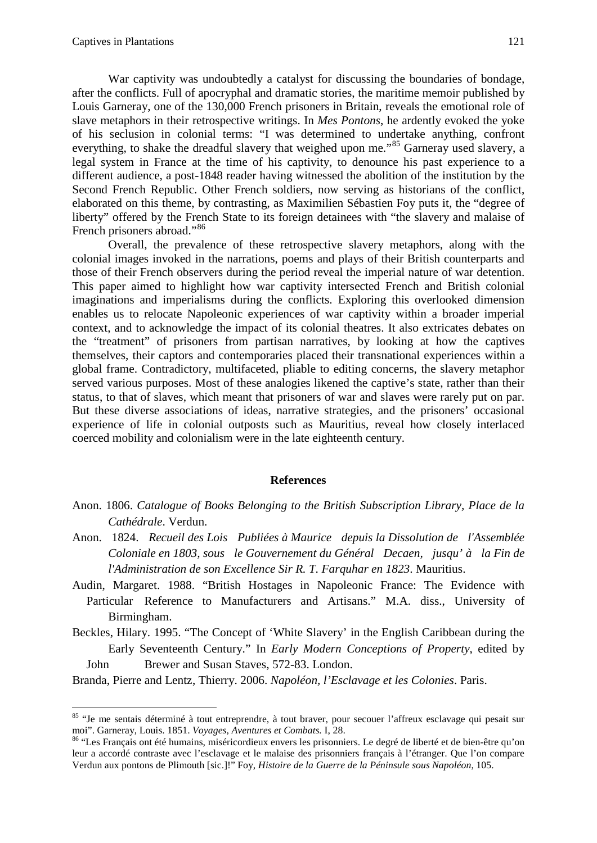War captivity was undoubtedly a catalyst for discussing the boundaries of bondage, after the conflicts. Full of apocryphal and dramatic stories, the maritime memoir published by Louis Garneray, one of the 130,000 French prisoners in Britain, reveals the emotional role of slave metaphors in their retrospective writings. In *Mes Pontons*, he ardently evoked the yoke of his seclusion in colonial terms: "I was determined to undertake anything, confront everything, to shake the dreadful slavery that weighed upon me."<sup>[85](#page-14-0)</sup> Garneray used slavery, a legal system in France at the time of his captivity, to denounce his past experience to a different audience, a post-1848 reader having witnessed the abolition of the institution by the Second French Republic. Other French soldiers, now serving as historians of the conflict, elaborated on this theme, by contrasting, as Maximilien Sébastien Foy puts it, the "degree of liberty" offered by the French State to its foreign detainees with "the slavery and malaise of French prisoners abroad."<sup>[86](#page-14-1)</sup>

Overall, the prevalence of these retrospective slavery metaphors, along with the colonial images invoked in the narrations, poems and plays of their British counterparts and those of their French observers during the period reveal the imperial nature of war detention. This paper aimed to highlight how war captivity intersected French and British colonial imaginations and imperialisms during the conflicts. Exploring this overlooked dimension enables us to relocate Napoleonic experiences of war captivity within a broader imperial context, and to acknowledge the impact of its colonial theatres. It also extricates debates on the "treatment" of prisoners from partisan narratives, by looking at how the captives themselves, their captors and contemporaries placed their transnational experiences within a global frame. Contradictory, multifaceted, pliable to editing concerns, the slavery metaphor served various purposes. Most of these analogies likened the captive's state, rather than their status, to that of slaves, which meant that prisoners of war and slaves were rarely put on par. But these diverse associations of ideas, narrative strategies, and the prisoners' occasional experience of life in colonial outposts such as Mauritius, reveal how closely interlaced coerced mobility and colonialism were in the late eighteenth century.

#### **References**

- Anon. 1806. *Catalogue of Books Belonging to the British Subscription Library, Place de la Cathédrale*. Verdun.
- Anon. 1824. *Recueil des Lois Publiées à Maurice depuis la Dissolution de l'Assemblée Coloniale en 1803, sous le Gouvernement du Général Decaen, jusqu' à la Fin de l'Administration de son Excellence Sir R. T. Farquhar en 1823*. Mauritius.
- Audin, Margaret. 1988. "British Hostages in Napoleonic France: The Evidence with Particular Reference to Manufacturers and Artisans." M.A. diss., University of Birmingham.
- Beckles, Hilary. 1995. "The Concept of 'White Slavery' in the English Caribbean during the Early Seventeenth Century." In *Early Modern Conceptions of Property*, edited by John Brewer and Susan Staves, 572-83. London.

Branda, Pierre and Lentz, Thierry. 2006. *Napoléon, l'Esclavage et les Colonies*. Paris.

<span id="page-14-0"></span><sup>&</sup>lt;sup>85</sup> "Je me sentais déterminé à tout entreprendre, à tout braver, pour secouer l'affreux esclavage qui pesait sur moi". Garneray, Louis. 1851. *Voyages, Aventures et Combats.* I, 28. <sup>86</sup> "Les Français ont été humains, miséricordieux envers les prisonniers. Le degré de liberté et de bien-être qu'on

<span id="page-14-1"></span>leur a accordé contraste avec l'esclavage et le malaise des prisonniers français à l'étranger. Que l'on compare Verdun aux pontons de Plimouth [sic.]!" Foy, *Histoire de la Guerre de la Péninsule sous Napoléon*, 105.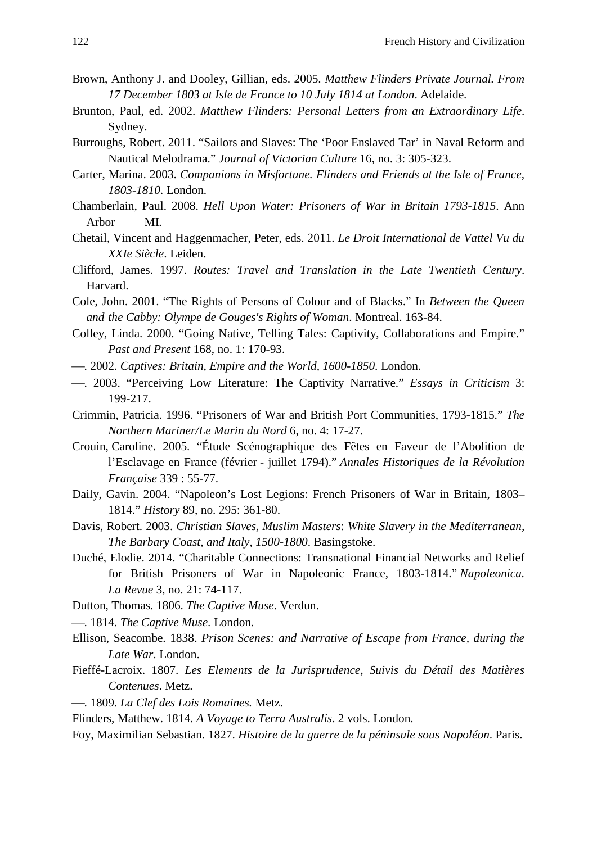- Brown, Anthony J. and Dooley, Gillian, eds. 2005. *Matthew Flinders Private Journal. From 17 December 1803 at Isle de France to 10 July 1814 at London*. Adelaide.
- Brunton, Paul, ed. 2002. *Matthew Flinders: Personal Letters from an Extraordinary Life*. Sydney.
- Burroughs, Robert. 2011. "Sailors and Slaves: The 'Poor Enslaved Tar' in Naval Reform and Nautical Melodrama." *Journal of Victorian Culture* 16, no. 3: 305-323.
- Carter, Marina. 2003. *Companions in Misfortune. Flinders and Friends at the Isle of France, 1803-1810*. London.
- Chamberlain, Paul. 2008. *Hell Upon Water: Prisoners of War in Britain 1793-1815*. Ann Arbor MI.
- Chetail, Vincent and Haggenmacher, Peter, eds. 2011. *Le Droit International de Vattel Vu du XXIe Siècle*. Leiden.
- Clifford, James. 1997. *Routes: Travel and Translation in the Late Twentieth Century*. Harvard.
- Cole, John. 2001. "The Rights of Persons of Colour and of Blacks." In *Between the Queen and the Cabby: Olympe de Gouges's Rights of Woman*. Montreal. 163-84.
- Colley, Linda. 2000. "Going Native, Telling Tales: Captivity, Collaborations and Empire." *Past and Present* 168, no. 1: 170-93.
- . 2002. *Captives: Britain, Empire and the World, 1600-1850*. London.
- . 2003. "Perceiving Low Literature: The Captivity Narrative." *Essays in Criticism* 3: 199-217.
- Crimmin, Patricia. 1996. "Prisoners of War and British Port Communities, 1793-1815." *The Northern Mariner/Le Marin du Nord* 6, no. 4: 17-27.
- Crouin, Caroline. 2005. "Étude Scénographique des Fêtes en Faveur de l'Abolition de l'Esclavage en France (février - juillet 1794)." *Annales Historiques de la Révolution Française* 339 : 55-77.
- Daily, Gavin. 2004. "Napoleon's Lost Legions: French Prisoners of War in Britain, 1803– 1814." *History* 89, no. 295: 361-80.
- Davis, Robert. 2003. *Christian Slaves, Muslim Masters*: *White Slavery in the Mediterranean, The Barbary Coast, and Italy, 1500-1800*. Basingstoke.
- Duché, Elodie. 2014. "Charitable Connections: Transnational Financial Networks and Relief for British Prisoners of War in Napoleonic France, 1803-1814." *Napoleonica. La Revue* 3, no. 21: 74-117.
- Dutton, Thomas. 1806. *The Captive Muse*. Verdun.
- . 1814. *The Captive Muse*. London.
- Ellison, Seacombe. 1838. *Prison Scenes: and Narrative of Escape from France, during the Late War*. London.
- Fieffé-Lacroix. 1807. *Les Elements de la Jurisprudence, Suivis du Détail des Matières Contenues*. Metz.
- . 1809. *La Clef des Lois Romaines.* Metz.
- Flinders, Matthew. 1814. *A Voyage to Terra Australis*. 2 vols. London.
- Foy, Maximilian Sebastian. 1827. *Histoire de la guerre de la péninsule sous Napoléon*. Paris.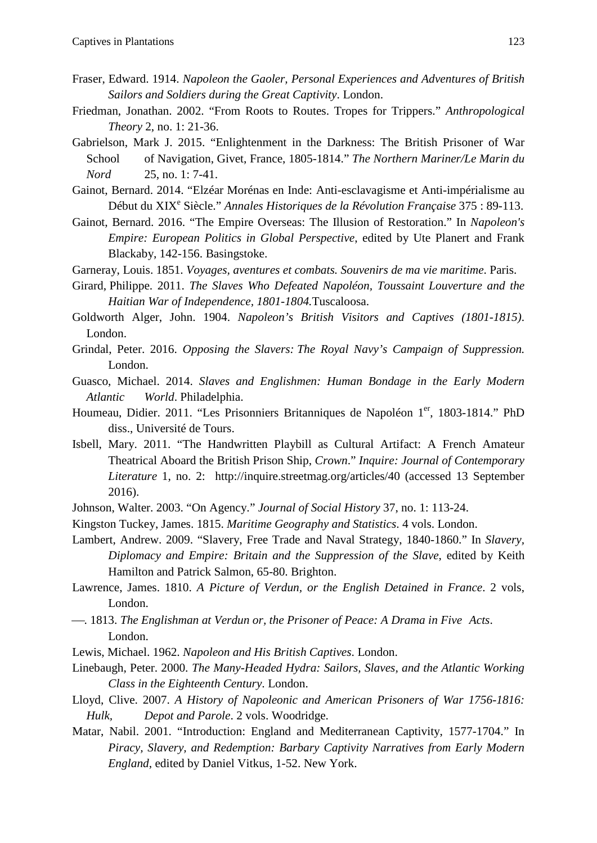- Fraser, Edward. 1914. *Napoleon the Gaoler, Personal Experiences and Adventures of British Sailors and Soldiers during the Great Captivity*. London.
- Friedman, Jonathan. 2002. "From Roots to Routes. Tropes for Trippers." *Anthropological Theory* 2, no. 1: 21-36.
- Gabrielson, Mark J. 2015. "Enlightenment in the Darkness: The British Prisoner of War School of Navigation, Givet, France, 1805-1814." *The Northern Mariner/Le Marin du Nord* 25, no. 1: 7-41.
- Gainot, Bernard. 2014. "Elzéar Morénas en Inde: Anti-esclavagisme et Anti-impérialisme au Début du XIX<sup>e</sup> Siècle." *Annales Historiques de la Révolution Française* 375 : 89-113.
- Gainot, Bernard. 2016. "The Empire Overseas: The Illusion of Restoration." In *Napoleon's Empire: European Politics in Global Perspective*, edited by Ute Planert and Frank Blackaby, 142-156. Basingstoke.
- Garneray, Louis. 1851. *Voyages, aventures et combats. Souvenirs de ma vie maritime*. Paris.
- Girard, Philippe. 2011. *The Slaves Who Defeated Napoléon, Toussaint Louverture and the Haitian War of Independence, 1801-1804.*Tuscaloosa.
- Goldworth Alger, John. 1904. *Napoleon's British Visitors and Captives (1801-1815)*. London.
- Grindal, Peter. 2016. *Opposing the Slavers: The Royal Navy's Campaign of Suppression.* London.
- Guasco, Michael. 2014. *Slaves and Englishmen: Human Bondage in the Early Modern Atlantic World*. Philadelphia.
- Houmeau, Didier. 2011. "Les Prisonniers Britanniques de Napoléon 1<sup>er</sup>, 1803-1814." PhD diss., Université de Tours.
- Isbell, Mary. 2011. "The Handwritten Playbill as Cultural Artifact: A French Amateur Theatrical Aboard the British Prison Ship, *Crown*." *Inquire: Journal of Contemporary Literature* 1, no. 2: http://inquire.streetmag.org/articles/40 (accessed 13 September 2016).
- Johnson, Walter. 2003. "On Agency." *Journal of Social History* 37, no. 1: 113-24.
- Kingston Tuckey, James. 1815. *Maritime Geography and Statistics*. 4 vols. London.
- Lambert, Andrew. 2009. "Slavery, Free Trade and Naval Strategy, 1840-1860." In *Slavery, Diplomacy and Empire: Britain and the Suppression of the Slave*, edited by Keith Hamilton and Patrick Salmon, 65-80. Brighton.
- Lawrence, James. 1810. *A Picture of Verdun, or the English Detained in France*. 2 vols, London.
- . 1813. *The Englishman at Verdun or, the Prisoner of Peace: A Drama in Five Acts*. London.
- Lewis, Michael. 1962. *Napoleon and His British Captives*. London.
- Linebaugh, Peter. 2000. *The Many-Headed Hydra: Sailors, Slaves, and the Atlantic Working Class in the Eighteenth Century*. London.
- Lloyd, Clive. 2007. *A History of Napoleonic and American Prisoners of War 1756-1816: Hulk, Depot and Parole*. 2 vols. Woodridge.
- Matar, Nabil. 2001. "Introduction: England and Mediterranean Captivity, 1577-1704." In *Piracy, Slavery, and Redemption: Barbary Captivity Narratives from Early Modern England*, edited by Daniel Vitkus, 1-52. New York.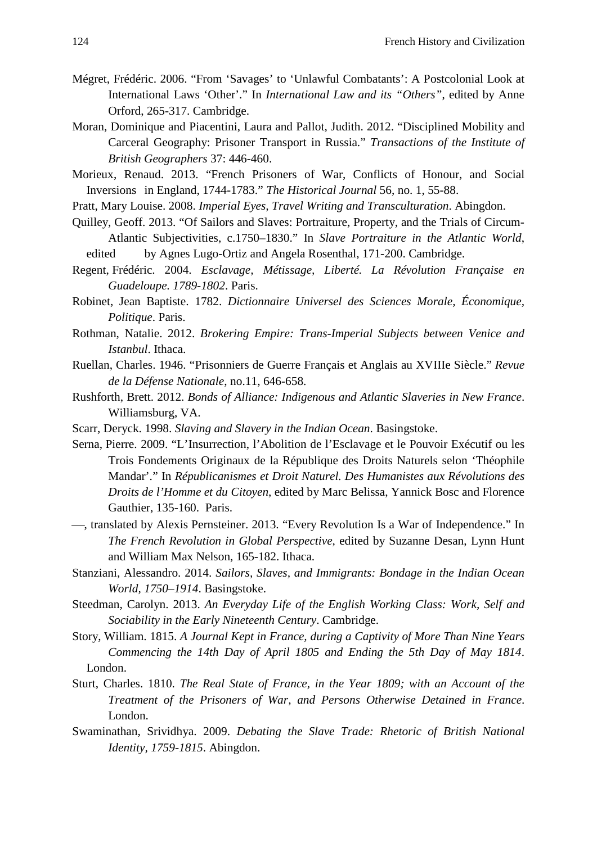- Mégret, Frédéric. 2006. "From 'Savages' to 'Unlawful Combatants': A Postcolonial Look at International Laws 'Other'." In *International Law and its "Others"*, edited by Anne Orford, 265-317. Cambridge.
- Moran, Dominique and Piacentini, Laura and Pallot, Judith. 2012. "Disciplined Mobility and Carceral Geography: Prisoner Transport in Russia." *Transactions of the Institute of British Geographers* 37: 446-460.
- Morieux, Renaud. 2013. "French Prisoners of War, Conflicts of Honour, and Social Inversions in England, 1744-1783." *The Historical Journal* 56, no. 1, 55-88.
- Pratt, Mary Louise. 2008. *Imperial Eyes, Travel Writing and Transculturation*. Abingdon.
- Quilley, Geoff. 2013. "Of Sailors and Slaves: Portraiture, Property, and the Trials of Circum-Atlantic Subjectivities, c.1750–1830." In *Slave Portraiture in the Atlantic World*, edited by Agnes Lugo-Ortiz and Angela Rosenthal, 171-200. Cambridge.
- Regent, Frédéric. 2004. *Esclavage, Métissage, Liberté. La Révolution Française en Guadeloupe. 1789-1802*. Paris.
- Robinet, Jean Baptiste. 1782. *Dictionnaire Universel des Sciences Morale, Économique, Politique*. Paris.
- Rothman, Natalie. 2012. *Brokering Empire: Trans-Imperial Subjects between Venice and Istanbul*. Ithaca.
- Ruellan, Charles. 1946. "Prisonniers de Guerre Français et Anglais au XVIIIe Siècle." *Revue de la Défense Nationale*, no.11, 646-658.
- Rushforth, Brett. 2012. *Bonds of Alliance: Indigenous and Atlantic Slaveries in New France*. Williamsburg, VA.
- Scarr, Deryck. 1998. *Slaving and Slavery in the Indian Ocean*. Basingstoke.
- Serna, Pierre. 2009. "L'Insurrection, l'Abolition de l'Esclavage et le Pouvoir Exécutif ou les Trois Fondements Originaux de la République des Droits Naturels selon 'Théophile Mandar'." In *Républicanismes et Droit Naturel. Des Humanistes aux Révolutions des Droits de l'Homme et du Citoyen*, edited by Marc Belissa, Yannick Bosc and Florence Gauthier, 135-160. Paris.
- , translated by Alexis Pernsteiner. 2013. "Every Revolution Is a War of Independence." In *The French Revolution in Global Perspective*, edited by Suzanne Desan, Lynn Hunt and William Max Nelson, 165-182. Ithaca.
- Stanziani, Alessandro. 2014. *Sailors, Slaves, and Immigrants: Bondage in the Indian Ocean World, 1750–1914*. Basingstoke.
- Steedman, Carolyn. 2013. *An Everyday Life of the English Working Class: Work, Self and Sociability in the Early Nineteenth Century*. Cambridge.
- Story, William. 1815. *A Journal Kept in France, during a Captivity of More Than Nine Years Commencing the 14th Day of April 1805 and Ending the 5th Day of May 1814*. London.
- Sturt, Charles. 1810. *The Real State of France, in the Year 1809; with an Account of the Treatment of the Prisoners of War, and Persons Otherwise Detained in France*. London.
- Swaminathan, Srividhya. 2009. *Debating the Slave Trade: Rhetoric of British National Identity, 1759-1815*. Abingdon.